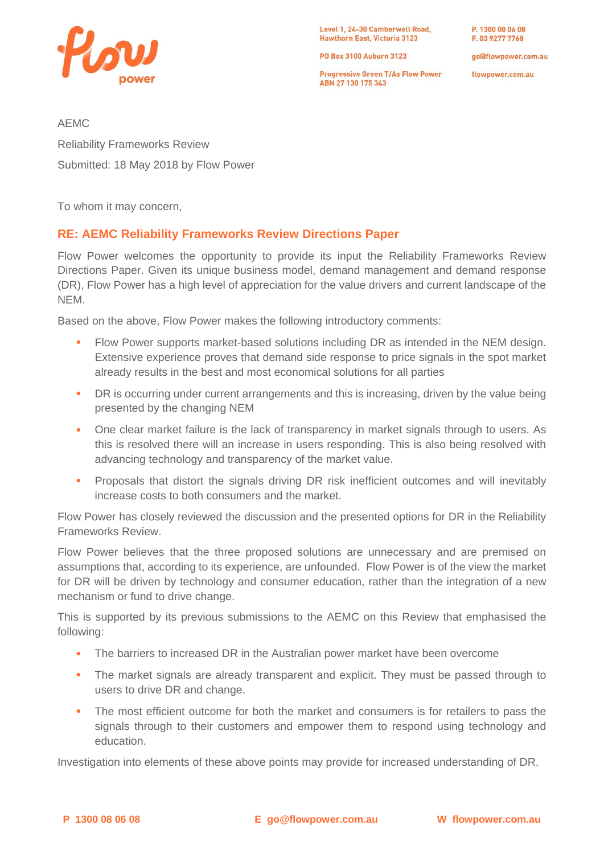

Level 1, 24-30 Camberwell Road, **Hawthorn East, Victoria 3123** 

PO Box 3100 Auburn 3123

**Progressive Green T/As Flow Power** ABN 27 130 175 343

P. 1300 08 06 08 F. 03 9277 7768

goldflowpower.com.au

flowpower.com.au

AEMC

Reliability Frameworks Review Submitted: 18 May 2018 by Flow Power

To whom it may concern,

# **RE: AEMC Reliability Frameworks Review Directions Paper**

Flow Power welcomes the opportunity to provide its input the Reliability Frameworks Review Directions Paper. Given its unique business model, demand management and demand response (DR), Flow Power has a high level of appreciation for the value drivers and current landscape of the NEM.

Based on the above, Flow Power makes the following introductory comments:

- Flow Power supports market-based solutions including DR as intended in the NEM design. Extensive experience proves that demand side response to price signals in the spot market already results in the best and most economical solutions for all parties
- DR is occurring under current arrangements and this is increasing, driven by the value being presented by the changing NEM
- One clear market failure is the lack of transparency in market signals through to users. As this is resolved there will an increase in users responding. This is also being resolved with advancing technology and transparency of the market value.
- Proposals that distort the signals driving DR risk inefficient outcomes and will inevitably increase costs to both consumers and the market.

Flow Power has closely reviewed the discussion and the presented options for DR in the Reliability Frameworks Review.

Flow Power believes that the three proposed solutions are unnecessary and are premised on assumptions that, according to its experience, are unfounded. Flow Power is of the view the market for DR will be driven by technology and consumer education, rather than the integration of a new mechanism or fund to drive change.

This is supported by its previous submissions to the AEMC on this Review that emphasised the following:

- The barriers to increased DR in the Australian power market have been overcome
- The market signals are already transparent and explicit. They must be passed through to users to drive DR and change.
- The most efficient outcome for both the market and consumers is for retailers to pass the signals through to their customers and empower them to respond using technology and education.

Investigation into elements of these above points may provide for increased understanding of DR.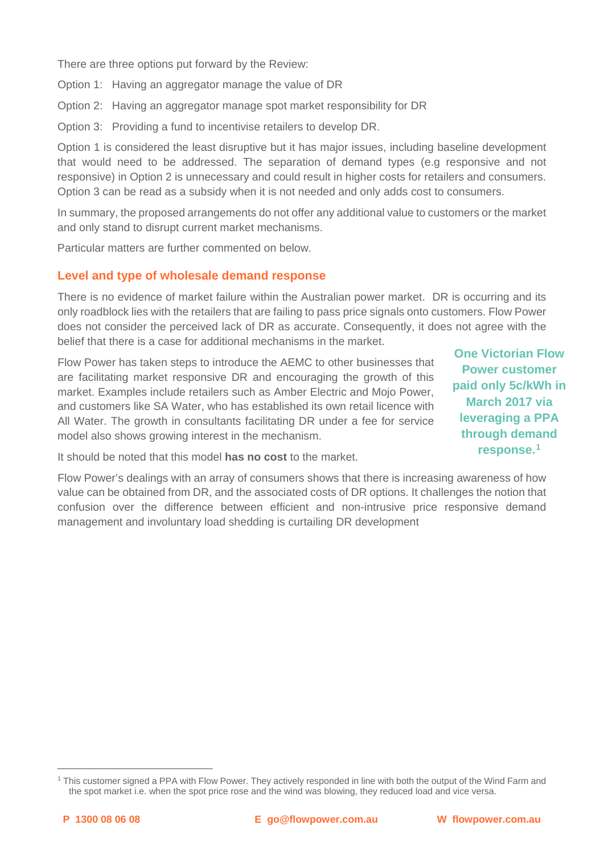There are three options put forward by the Review:

Option 1: Having an aggregator manage the value of DR

Option 2: Having an aggregator manage spot market responsibility for DR

Option 3: Providing a fund to incentivise retailers to develop DR.

Option 1 is considered the least disruptive but it has major issues, including baseline development that would need to be addressed. The separation of demand types (e.g responsive and not responsive) in Option 2 is unnecessary and could result in higher costs for retailers and consumers. Option 3 can be read as a subsidy when it is not needed and only adds cost to consumers.

In summary, the proposed arrangements do not offer any additional value to customers or the market and only stand to disrupt current market mechanisms.

Particular matters are further commented on below.

#### **Level and type of wholesale demand response**

There is no evidence of market failure within the Australian power market. DR is occurring and its only roadblock lies with the retailers that are failing to pass price signals onto customers. Flow Power does not consider the perceived lack of DR as accurate. Consequently, it does not agree with the belief that there is a case for additional mechanisms in the market.

Flow Power has taken steps to introduce the AEMC to other businesses that are facilitating market responsive DR and encouraging the growth of this market. Examples include retailers such as Amber Electric and Mojo Power, and customers like SA Water, who has established its own retail licence with All Water. The growth in consultants facilitating DR under a fee for service model also shows growing interest in the mechanism.

**One Victorian Flow Power customer paid only 5c/kWh in March 2017 via leveraging a PPA through demand response.[1](#page-1-0)**

It should be noted that this model **has no cost** to the market.

Flow Power's dealings with an array of consumers shows that there is increasing awareness of how value can be obtained from DR, and the associated costs of DR options. It challenges the notion that confusion over the difference between efficient and non-intrusive price responsive demand management and involuntary load shedding is curtailing DR development

\_\_\_\_\_\_\_\_\_\_\_\_\_\_\_\_\_\_\_\_\_\_\_\_\_

<span id="page-1-0"></span><sup>1</sup> This customer signed a PPA with Flow Power. They actively responded in line with both the output of the Wind Farm and the spot market i.e. when the spot price rose and the wind was blowing, they reduced load and vice versa.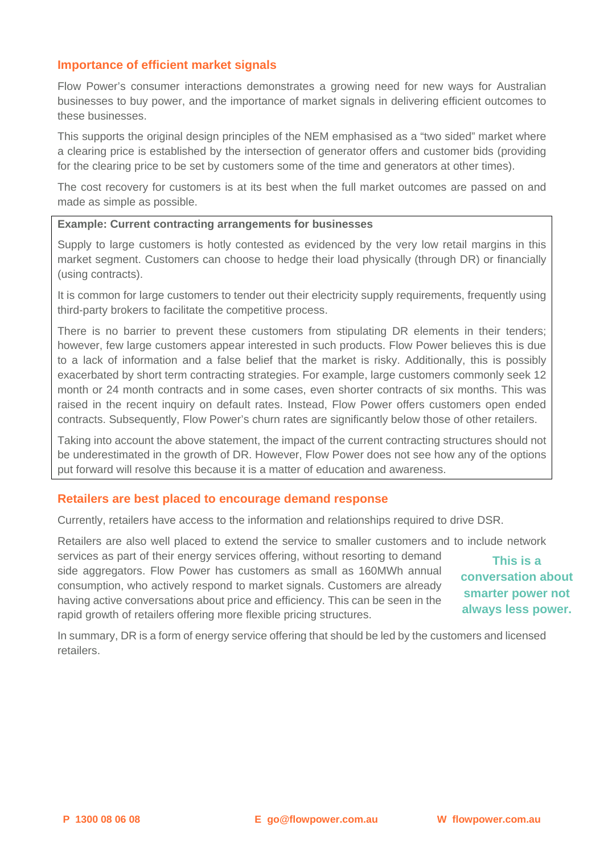#### **Importance of efficient market signals**

Flow Power's consumer interactions demonstrates a growing need for new ways for Australian businesses to buy power, and the importance of market signals in delivering efficient outcomes to these businesses.

This supports the original design principles of the NEM emphasised as a "two sided" market where a clearing price is established by the intersection of generator offers and customer bids (providing for the clearing price to be set by customers some of the time and generators at other times).

The cost recovery for customers is at its best when the full market outcomes are passed on and made as simple as possible.

#### **Example: Current contracting arrangements for businesses**

Supply to large customers is hotly contested as evidenced by the very low retail margins in this market segment. Customers can choose to hedge their load physically (through DR) or financially (using contracts).

It is common for large customers to tender out their electricity supply requirements, frequently using third-party brokers to facilitate the competitive process.

There is no barrier to prevent these customers from stipulating DR elements in their tenders; however, few large customers appear interested in such products. Flow Power believes this is due to a lack of information and a false belief that the market is risky. Additionally, this is possibly exacerbated by short term contracting strategies. For example, large customers commonly seek 12 month or 24 month contracts and in some cases, even shorter contracts of six months. This was raised in the recent inquiry on default rates. Instead, Flow Power offers customers open ended contracts. Subsequently, Flow Power's churn rates are significantly below those of other retailers.

Taking into account the above statement, the impact of the current contracting structures should not be underestimated in the growth of DR. However, Flow Power does not see how any of the options put forward will resolve this because it is a matter of education and awareness.

## **Retailers are best placed to encourage demand response**

Currently, retailers have access to the information and relationships required to drive DSR.

Retailers are also well placed to extend the service to smaller customers and to include network

services as part of their energy services offering, without resorting to demand side aggregators. Flow Power has customers as small as 160MWh annual consumption, who actively respond to market signals. Customers are already having active conversations about price and efficiency. This can be seen in the rapid growth of retailers offering more flexible pricing structures.

**This is a conversation about smarter power not always less power.**

In summary, DR is a form of energy service offering that should be led by the customers and licensed retailers.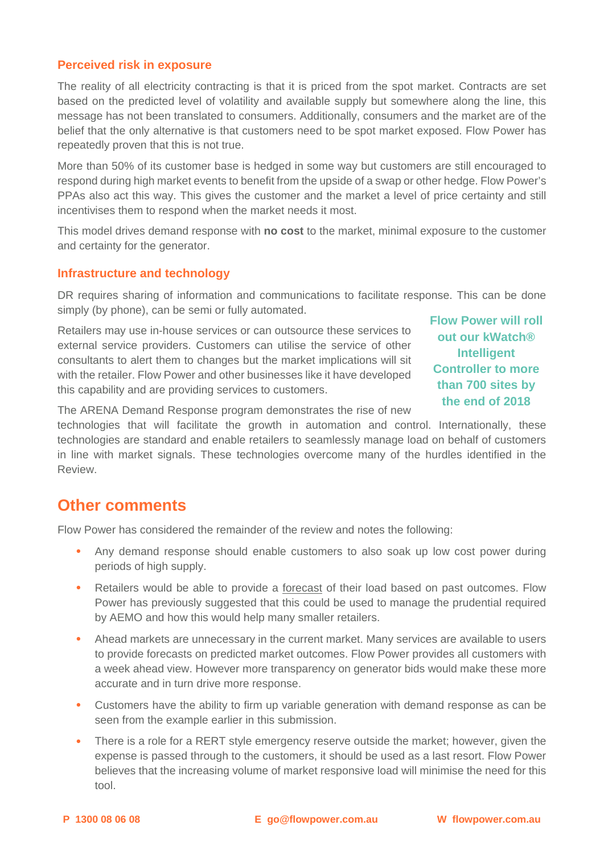## **Perceived risk in exposure**

The reality of all electricity contracting is that it is priced from the spot market. Contracts are set based on the predicted level of volatility and available supply but somewhere along the line, this message has not been translated to consumers. Additionally, consumers and the market are of the belief that the only alternative is that customers need to be spot market exposed. Flow Power has repeatedly proven that this is not true.

More than 50% of its customer base is hedged in some way but customers are still encouraged to respond during high market events to benefit from the upside of a swap or other hedge. Flow Power's PPAs also act this way. This gives the customer and the market a level of price certainty and still incentivises them to respond when the market needs it most.

This model drives demand response with **no cost** to the market, minimal exposure to the customer and certainty for the generator.

#### **Infrastructure and technology**

DR requires sharing of information and communications to facilitate response. This can be done simply (by phone), can be semi or fully automated.

Retailers may use in-house services or can outsource these services to external service providers. Customers can utilise the service of other consultants to alert them to changes but the market implications will sit with the retailer. Flow Power and other businesses like it have developed this capability and are providing services to customers.

**Flow Power will roll out our kWatch® Intelligent Controller to more than 700 sites by the end of 2018** 

The ARENA Demand Response program demonstrates the rise of new

technologies that will facilitate the growth in automation and control. Internationally, these technologies are standard and enable retailers to seamlessly manage load on behalf of customers in line with market signals. These technologies overcome many of the hurdles identified in the Review.

# **Other comments**

Flow Power has considered the remainder of the review and notes the following:

- Any demand response should enable customers to also soak up low cost power during periods of high supply.
- Retailers would be able to provide a forecast of their load based on past outcomes. Flow Power has previously suggested that this could be used to manage the prudential required by AEMO and how this would help many smaller retailers.
- Ahead markets are unnecessary in the current market. Many services are available to users to provide forecasts on predicted market outcomes. Flow Power provides all customers with a week ahead view. However more transparency on generator bids would make these more accurate and in turn drive more response.
- Customers have the ability to firm up variable generation with demand response as can be seen from the example earlier in this submission.
- There is a role for a RERT style emergency reserve outside the market; however, given the expense is passed through to the customers, it should be used as a last resort. Flow Power believes that the increasing volume of market responsive load will minimise the need for this tool.